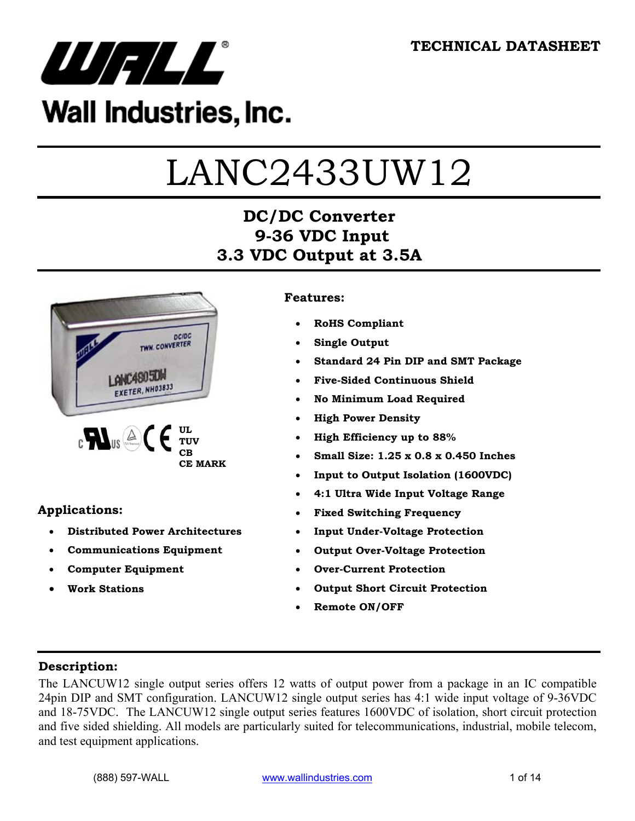

## Wall Industries, Inc.

# LANC2433UW12

## **DC/DC Converter 9-36 VDC Input 3.3 VDC Output at 3.5A**



#### **Applications:**

- **Distributed Power Architectures**
- **Communications Equipment**
- **Computer Equipment**
- **Work Stations**

#### **Features:**

- **RoHS Compliant**
- **Single Output**
- **Standard 24 Pin DIP and SMT Package**
- **Five-Sided Continuous Shield**
- **No Minimum Load Required**
- **High Power Density**
- **High Efficiency up to 88%**
- **Small Size: 1.25 x 0.8 x 0.450 Inches**
- **Input to Output Isolation (1600VDC)**
- **4:1 Ultra Wide Input Voltage Range**
- **Fixed Switching Frequency**
- **Input Under-Voltage Protection**
- **Output Over-Voltage Protection**
- **Over-Current Protection**
- **Output Short Circuit Protection**
- **Remote ON/OFF**

#### **Description:**

The LANCUW12 single output series offers 12 watts of output power from a package in an IC compatible 24pin DIP and SMT configuration. LANCUW12 single output series has 4:1 wide input voltage of 9-36VDC and 18-75VDC. The LANCUW12 single output series features 1600VDC of isolation, short circuit protection and five sided shielding. All models are particularly suited for telecommunications, industrial, mobile telecom, and test equipment applications.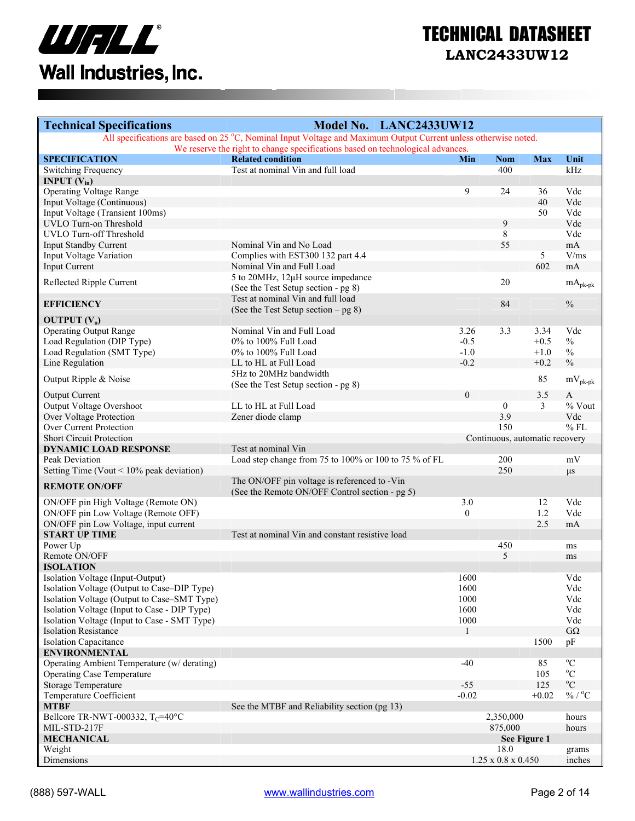

| <b>Technical Specifications</b>                                                            | Model No. LANC2433UW12                                                                                          |                |                                |                |                             |
|--------------------------------------------------------------------------------------------|-----------------------------------------------------------------------------------------------------------------|----------------|--------------------------------|----------------|-----------------------------|
|                                                                                            | All specifications are based on 25 °C, Nominal Input Voltage and Maximum Output Current unless otherwise noted. |                |                                |                |                             |
| <b>SPECIFICATION</b>                                                                       | We reserve the right to change specifications based on technological advances.<br><b>Related condition</b>      | Min            | <b>Nom</b>                     | <b>Max</b>     | Unit                        |
| <b>Switching Frequency</b>                                                                 | Test at nominal Vin and full load                                                                               |                | 400                            |                | kHz                         |
| <b>INPUT</b> $(V_{in})$                                                                    |                                                                                                                 |                |                                |                |                             |
| <b>Operating Voltage Range</b>                                                             |                                                                                                                 | 9              | 24                             | 36             | Vdc                         |
| Input Voltage (Continuous)                                                                 |                                                                                                                 |                |                                | 40             | Vdc                         |
| Input Voltage (Transient 100ms)                                                            |                                                                                                                 |                |                                | 50             | Vdc                         |
| <b>UVLO Turn-on Threshold</b>                                                              |                                                                                                                 |                | 9                              |                | Vdc                         |
| <b>UVLO Turn-off Threshold</b>                                                             |                                                                                                                 |                | 8                              |                | Vdc                         |
| <b>Input Standby Current</b>                                                               | Nominal Vin and No Load                                                                                         |                | 55                             |                | mA                          |
| Input Voltage Variation                                                                    | Complies with EST300 132 part 4.4                                                                               |                |                                | 5              | V/ms                        |
| <b>Input Current</b>                                                                       | Nominal Vin and Full Load                                                                                       |                |                                | 602            | mA                          |
| Reflected Ripple Current                                                                   | 5 to 20MHz, 12µH source impedance                                                                               |                | 20                             |                |                             |
|                                                                                            | (See the Test Setup section - pg 8)                                                                             |                |                                |                | $mA_{pk-pk}$                |
| <b>EFFICIENCY</b>                                                                          | Test at nominal Vin and full load                                                                               |                | 84                             |                | $\frac{0}{0}$               |
|                                                                                            | (See the Test Setup section $-$ pg 8)                                                                           |                |                                |                |                             |
| <b>OUTPUT</b> $(V_0)$                                                                      |                                                                                                                 |                |                                |                |                             |
| <b>Operating Output Range</b>                                                              | Nominal Vin and Full Load                                                                                       | 3.26           | 3.3                            | 3.34           | Vdc                         |
| Load Regulation (DIP Type)                                                                 | 0% to 100% Full Load                                                                                            | $-0.5$         |                                | $+0.5$         | $\%$                        |
| Load Regulation (SMT Type)                                                                 | 0% to 100% Full Load                                                                                            | $-1.0$         |                                | $+1.0$         | $\%$                        |
| Line Regulation                                                                            | LL to HL at Full Load                                                                                           | $-0.2$         |                                | $+0.2$         | $\frac{0}{0}$               |
| Output Ripple & Noise                                                                      | 5Hz to 20MHz bandwidth                                                                                          |                |                                | 85             | $mV_{\text{pk-pk}}$         |
|                                                                                            | (See the Test Setup section - pg 8)                                                                             |                |                                |                |                             |
| <b>Output Current</b>                                                                      |                                                                                                                 | $\overline{0}$ |                                | 3.5            | $\mathbf{A}$                |
| <b>Output Voltage Overshoot</b>                                                            | LL to HL at Full Load                                                                                           |                | $\mathbf{0}$                   | $\overline{3}$ | % Vout                      |
| <b>Over Voltage Protection</b>                                                             | Zener diode clamp                                                                                               |                | 3.9                            |                | Vdc                         |
| Over Current Protection                                                                    |                                                                                                                 |                | 150                            |                | $%$ FL                      |
| <b>Short Circuit Protection</b>                                                            |                                                                                                                 |                | Continuous, automatic recovery |                |                             |
| <b>DYNAMIC LOAD RESPONSE</b><br>Peak Deviation                                             | Test at nominal Vin                                                                                             |                | 200                            |                | mV                          |
| Setting Time (Vout $\leq 10\%$ peak deviation)                                             | Load step change from 75 to 100% or 100 to 75 % of FL                                                           |                | 250                            |                |                             |
|                                                                                            | The ON/OFF pin voltage is referenced to -Vin                                                                    |                |                                |                | $\mu s$                     |
| <b>REMOTE ON/OFF</b>                                                                       | (See the Remote ON/OFF Control section - pg 5)                                                                  |                |                                |                |                             |
| ON/OFF pin High Voltage (Remote ON)                                                        |                                                                                                                 | 3.0            |                                | 12             | Vdc                         |
| ON/OFF pin Low Voltage (Remote OFF)                                                        |                                                                                                                 | $\mathbf{0}$   |                                | 1.2            | Vdc                         |
| ON/OFF pin Low Voltage, input current                                                      |                                                                                                                 |                |                                | 2.5            | mA                          |
| <b>START UP TIME</b>                                                                       | Test at nominal Vin and constant resistive load                                                                 |                |                                |                |                             |
| Power Up                                                                                   |                                                                                                                 |                | 450                            |                | ms                          |
| Remote ON/OFF                                                                              |                                                                                                                 |                | 5                              |                | ms                          |
| <b>ISOLATION</b>                                                                           |                                                                                                                 |                |                                |                |                             |
| Isolation Voltage (Input-Output)                                                           |                                                                                                                 | 1600           |                                |                | Vdc                         |
| Isolation Voltage (Output to Case-DIP Type)<br>Isolation Voltage (Output to Case-SMT Type) |                                                                                                                 | 1600<br>1000   |                                |                | Vdc<br>Vdc                  |
| Isolation Voltage (Input to Case - DIP Type)                                               |                                                                                                                 | 1600           |                                |                | Vdc                         |
| Isolation Voltage (Input to Case - SMT Type)                                               |                                                                                                                 | 1000           |                                |                | Vdc                         |
| <b>Isolation Resistance</b>                                                                |                                                                                                                 | -1             |                                |                | $G\Omega$                   |
| <b>Isolation Capacitance</b>                                                               |                                                                                                                 |                |                                | 1500           | pF                          |
| <b>ENVIRONMENTAL</b>                                                                       |                                                                                                                 |                |                                |                |                             |
| Operating Ambient Temperature (w/derating)                                                 |                                                                                                                 | $-40$          |                                | 85             | $^{\rm o}{\rm C}$           |
| <b>Operating Case Temperature</b>                                                          |                                                                                                                 |                |                                | 105            | $\rm ^{o}C$                 |
| <b>Storage Temperature</b>                                                                 |                                                                                                                 | $-55$          |                                | 125            | $\rm ^{o}C$                 |
| Temperature Coefficient                                                                    |                                                                                                                 | $-0.02$        |                                | $+0.02$        | $\%$ / $^{\rm o}\textrm{C}$ |
| <b>MTBF</b>                                                                                | See the MTBF and Reliability section (pg 13)                                                                    |                |                                |                |                             |
| Bellcore TR-NWT-000332, $T_c$ =40°C                                                        |                                                                                                                 |                | 2,350,000                      |                | hours                       |
| MIL-STD-217F                                                                               |                                                                                                                 |                | 875,000                        |                | hours                       |
| <b>MECHANICAL</b>                                                                          |                                                                                                                 |                | See Figure 1                   |                |                             |
| Weight                                                                                     |                                                                                                                 |                | 18.0                           |                | grams                       |
| Dimensions                                                                                 |                                                                                                                 |                | $1.25 \ge 0.8 \times 0.450$    |                | inches                      |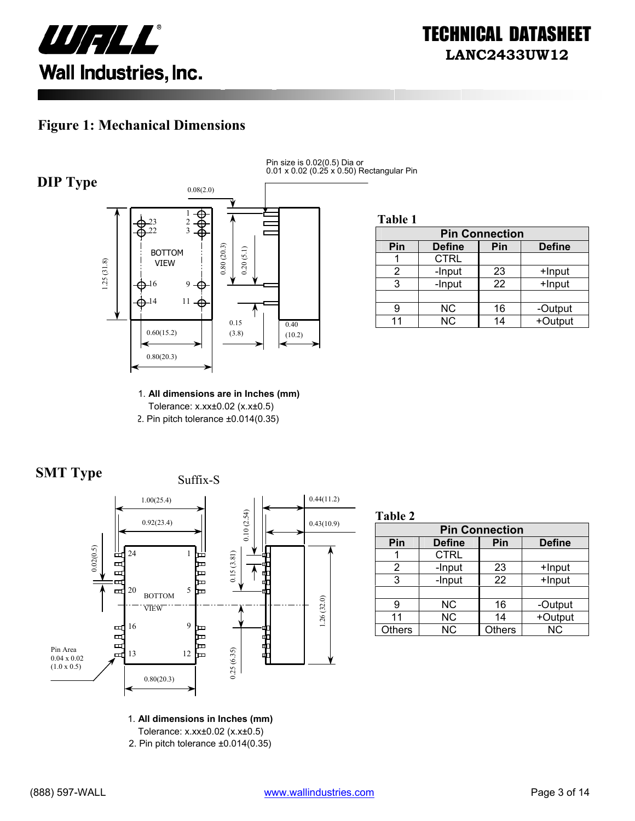

#### **Figure 1: Mechanical Dimensions**



Pin size is 0.02(0.5) Dia or 0.01 x 0.02 (0.25 x 0.50) Rectangular Pin

**Table 1**

| <b>Pin Connection</b> |               |     |               |  |
|-----------------------|---------------|-----|---------------|--|
| Pin                   | <b>Define</b> | Pin | <b>Define</b> |  |
|                       | <b>CTRL</b>   |     |               |  |
|                       | -Input        | 23  | +Input        |  |
| 3                     | -Input        | 22  | +Input        |  |
|                       |               |     |               |  |
| 9                     | <b>NC</b>     | 16  | -Output       |  |
| 11                    | <b>NC</b>     | 14  | +Output       |  |

1. **All dimensions are in Inches (mm)**  Tolerance: x.xx±0.02 (x.x±0.5) 2. Pin pitch tolerance ±0.014(0.35)





**Table 2**

| <b>Pin Connection</b> |               |               |               |  |
|-----------------------|---------------|---------------|---------------|--|
| Pin                   | <b>Define</b> | Pin           | <b>Define</b> |  |
|                       | <b>CTRL</b>   |               |               |  |
| 2                     | -Input        | 23            | +Input        |  |
| 3                     | -Input        | 22            | +Input        |  |
|                       |               |               |               |  |
| g                     | <b>NC</b>     | 16            | -Output       |  |
| 11                    | <b>NC</b>     | 14            | +Output       |  |
| <b>Others</b>         | <b>NC</b>     | <b>Others</b> | <b>NC</b>     |  |

1. **All dimensions in Inches (mm)** 

Tolerance: x.xx±0.02 (x.x±0.5)

2. Pin pitch tolerance ±0.014(0.35)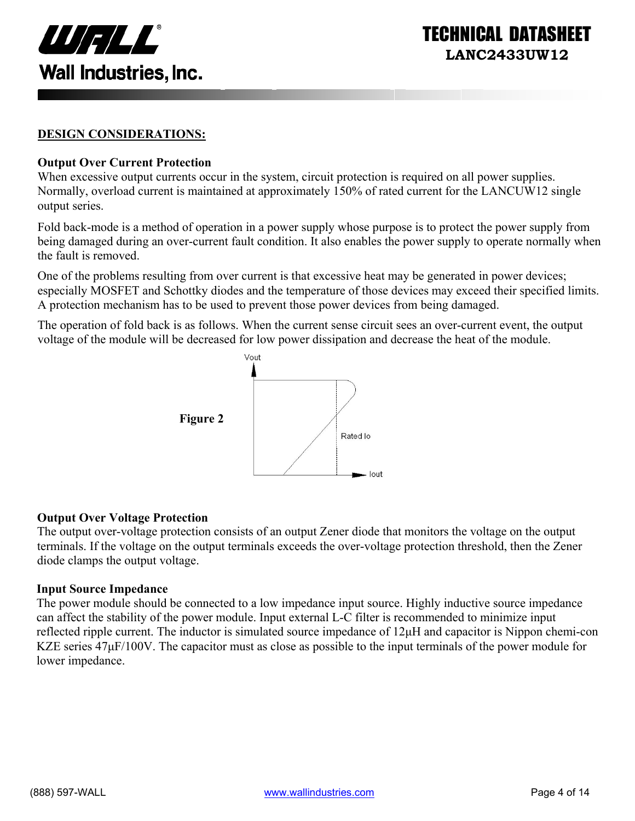

INICAL DATASI **LANC2433UW12** 

#### **DESIGN CONSIDERATIONS:**

#### **Output Over Current Protection**

When excessive output currents occur in the system, circuit protection is required on all power supplies. Normally, overload current is maintained at approximately 150% of rated current for the LANCUW12 single output series.

Fold back-mode is a method of operation in a power supply whose purpose is to protect the power supply from being damaged during an over-current fault condition. It also enables the power supply to operate normally when the fault is removed.

One of the problems resulting from over current is that excessive heat may be generated in power devices; especially MOSFET and Schottky diodes and the temperature of those devices may exceed their specified limits. A protection mechanism has to be used to prevent those power devices from being damaged.

The operation of fold back is as follows. When the current sense circuit sees an over-current event, the output voltage of the module will be decreased for low power dissipation and decrease the heat of the module.



#### **Output Over Voltage Protection**

The output over-voltage protection consists of an output Zener diode that monitors the voltage on the output terminals. If the voltage on the output terminals exceeds the over-voltage protection threshold, then the Zener diode clamps the output voltage.

#### **Input Source Impedance**

The power module should be connected to a low impedance input source. Highly inductive source impedance can affect the stability of the power module. Input external L-C filter is recommended to minimize input reflected ripple current. The inductor is simulated source impedance of 12µH and capacitor is Nippon chemi-con KZE series  $47\mu$ F/100V. The capacitor must as close as possible to the input terminals of the power module for lower impedance.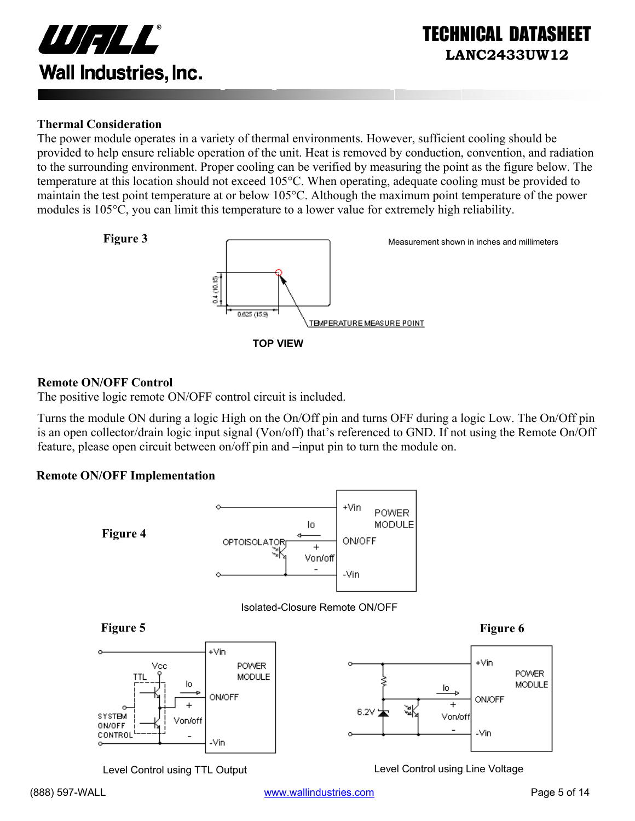

#### **Thermal Consideration**

The power module operates in a variety of thermal environments. However, sufficient cooling should be provided to help ensure reliable operation of the unit. Heat is removed by conduction, convention, and radiation to the surrounding environment. Proper cooling can be verified by measuring the point as the figure below. The temperature at this location should not exceed 105°C. When operating, adequate cooling must be provided to maintain the test point temperature at or below 105°C. Although the maximum point temperature of the power modules is 105°C, you can limit this temperature to a lower value for extremely high reliability.



#### **Remote ON/OFF Control**

The positive logic remote ON/OFF control circuit is included.

Turns the module ON during a logic High on the On/Off pin and turns OFF during a logic Low. The On/Off pin is an open collector/drain logic input signal (Von/off) that's referenced to GND. If not using the Remote On/Off feature, please open circuit between on/off pin and –input pin to turn the module on.

#### **Remote ON/OFF Implementation**



Level Control using TTL Output Level Control using Line Voltage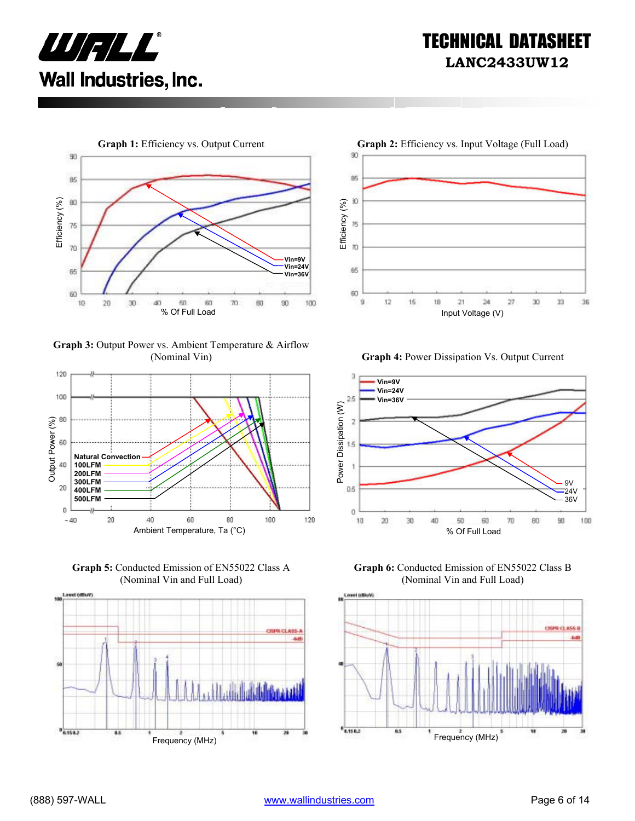



**Graph 3:** Output Power vs. Ambient Temperature & Airflow



**Graph 5:** Conducted Emission of EN55022 Class A (Nominal Vin and Full Load)





(Nominal Vin) **Graph 4:** Power Dissipation Vs. Output Current



**Graph 6:** Conducted Emission of EN55022 Class B (Nominal Vin and Full Load)

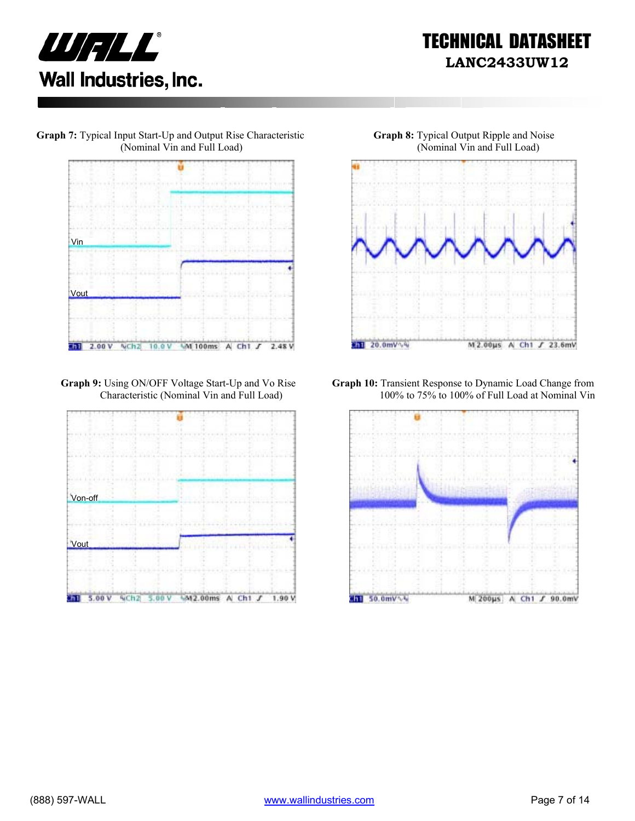





**Graph 9:** Using ON/OFF Voltage Start-Up and Vo Rise Characteristic (Nominal Vin and Full Load)





**Graph 10:** Transient Response to Dynamic Load Change from 100% to 75% to 100% of Full Load at Nominal Vin

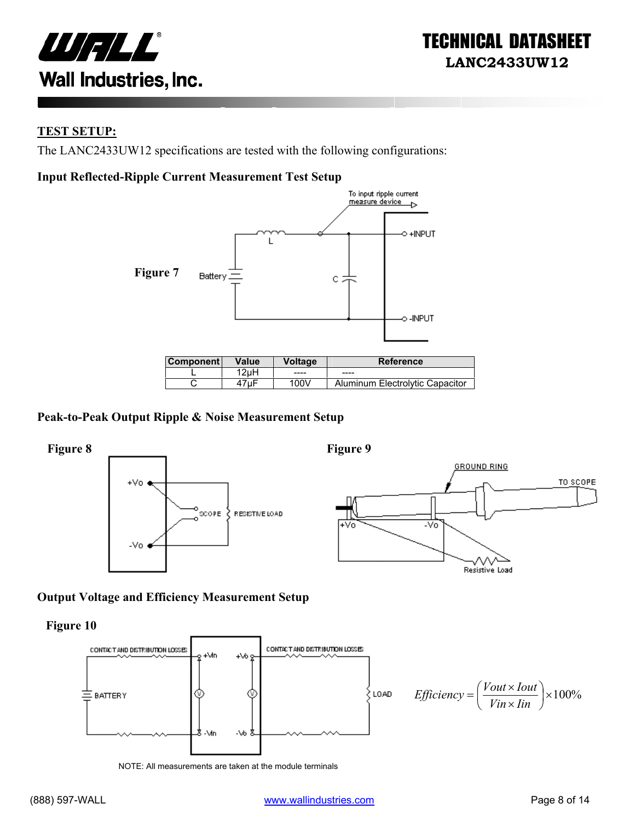

#### **TEST SETUP:**

The LANC2433UW12 specifications are tested with the following configurations:

#### **Input Reflected-Ripple Current Measurement Test Setup**



| ⊺Component l | Value | Voltage | <b>Reference</b>                |
|--------------|-------|---------|---------------------------------|
|              | 2uH   | ----    | $- - - -$                       |
|              | ⊦7uF  | 100V    | Aluminum Electrolytic Capacitor |

#### **Peak-to-Peak Output Ripple & Noise Measurement Setup**



#### **Output Voltage and Efficiency Measurement Setup**

**Figure 10** 



NOTE: All measurements are taken at the module terminals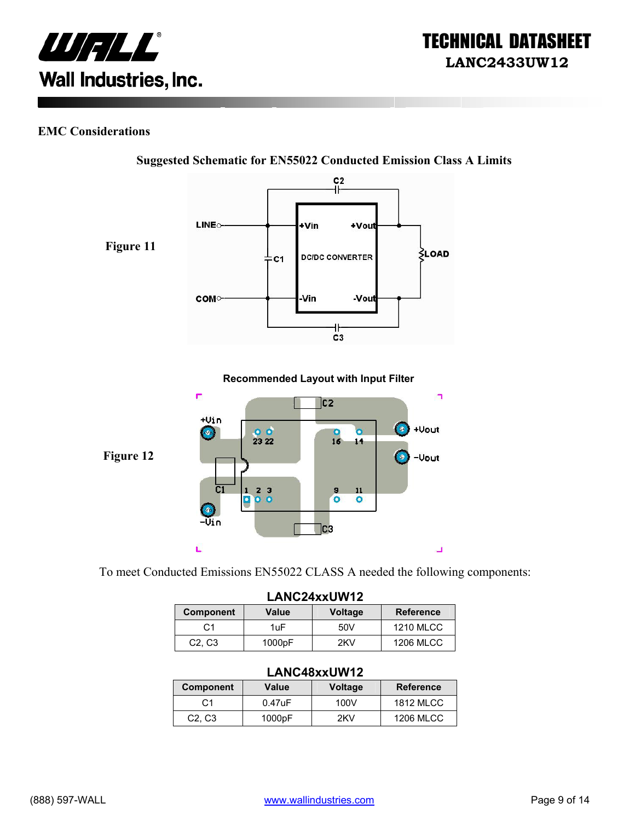

#### **EMC Considerations**



**Suggested Schematic for EN55022 Conducted Emission Class A Limits** 

To meet Conducted Emissions EN55022 CLASS A needed the following components:

| LANC24xxUW12                    |        |                |                  |
|---------------------------------|--------|----------------|------------------|
| <b>Component</b>                | Value  | <b>Voltage</b> | <b>Reference</b> |
| C <sub>1</sub>                  | 1uF    | 50V            | <b>1210 MLCC</b> |
| C <sub>2</sub> , C <sub>3</sub> | 1000pF | 2KV            | <b>1206 MLCC</b> |

#### **LANC48xxUW12**

| <b>Component</b>                | Value     | <b>Voltage</b> | <b>Reference</b> |
|---------------------------------|-----------|----------------|------------------|
|                                 | $0.47$ uF | 100V           | 1812 MLCC        |
| C <sub>2</sub> , C <sub>3</sub> | 1000pF    | 2KV            | 1206 MLCC        |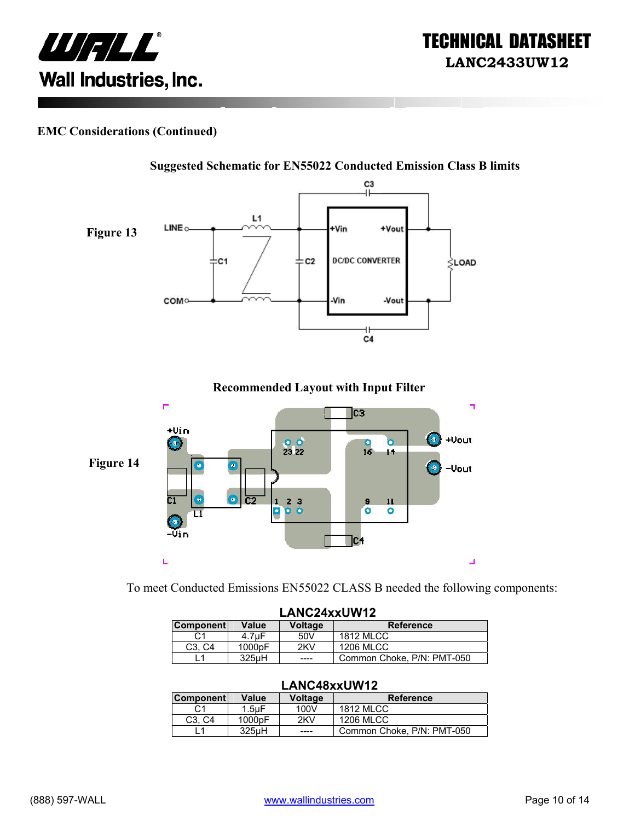



#### **EMC Considerations (Continued)**



**Recommended Layout with Input Filter** 



To meet Conducted Emissions EN55022 CLASS B needed the following components:

| LANC24xxUW12     |                     |                |                            |
|------------------|---------------------|----------------|----------------------------|
| <b>Component</b> | Value               | <b>Voltage</b> | <b>Reference</b>           |
| C1               | 4.7uF               | 50V            | <b>1812 MLCC</b>           |
| C3. C4           | 1000 <sub>p</sub> F | 2KV            | <b>1206 MLCC</b>           |
|                  | 325uH               | ----           | Common Choke, P/N: PMT-050 |

#### **LANC48xxUW12**

| <b>Component</b>                | Value              | Voltage | <b>Reference</b>           |
|---------------------------------|--------------------|---------|----------------------------|
| С1                              | $1.5$ u $F$        | 100V    | <b>1812 MLCC</b>           |
| C <sub>3</sub> . C <sub>4</sub> | 1000pF             | 2KV     | 1206 MLCC                  |
|                                 | 325 <sub>u</sub> H | ----    | Common Choke, P/N: PMT-050 |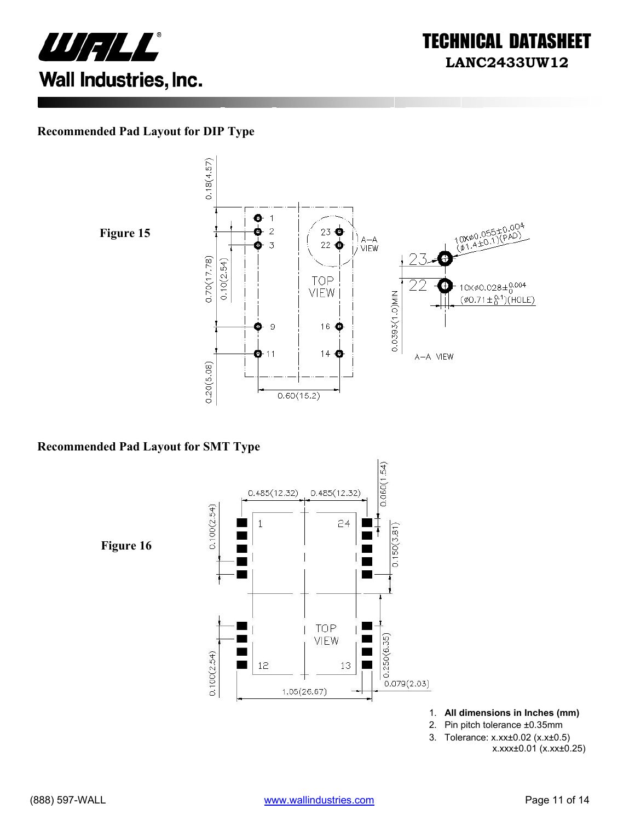



#### **Recommended Pad Layout for DIP Type**





#### **Recommended Pad Layout for SMT Type**



- 1. **All dimensions in Inches (mm)**
- 2. Pin pitch tolerance ±0.35mm
- 3. Tolerance: x.xx±0.02 (x.x±0.5)
	- x.xxx±0.01 (x.xx±0.25)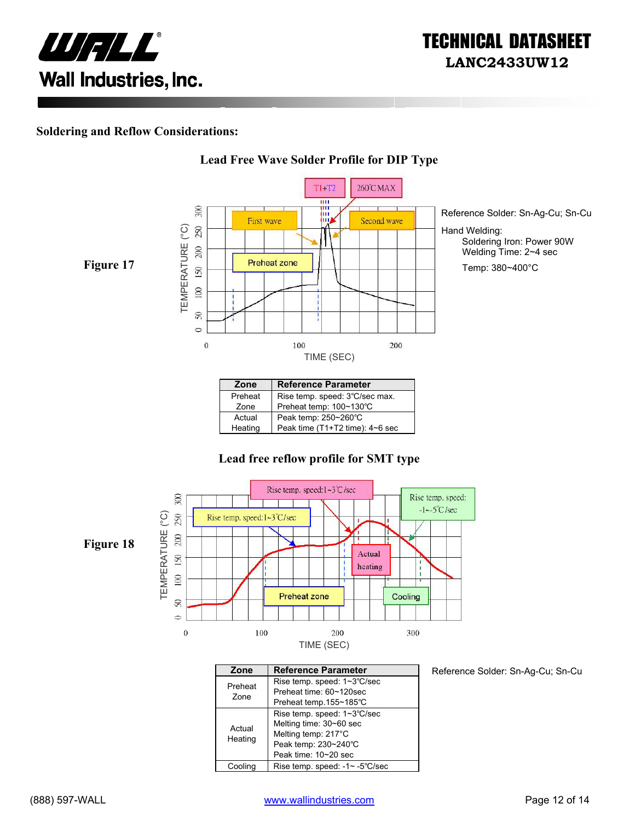

#### **Soldering and Reflow Considerations:**



**Lead Free Wave Solder Profile for DIP Type**

#### Preheat | Rise temp. speed: 3℃/sec max. Zone Preheat temp: 100~130℃ Actual Peak temp: 250~260°C<br>Heating Peak time (T1+T2 time) Peak time (T1+T2 time): 4~6 sec

#### **Lead free reflow profile for SMT type**



| Zone    | <b>Reference Parameter</b>     |
|---------|--------------------------------|
| Preheat | Rise temp. speed: 1~3°C/sec    |
| Zone    | Preheat time: 60~120sec        |
|         | Preheat temp.155~185°C         |
|         | Rise temp. speed: 1~3°C/sec    |
| Actual  | Melting time: 30~60 sec        |
|         | Melting temp: 217°C            |
| Heating | Peak temp: 230~240°C           |
|         | Peak time: 10~20 sec           |
| Coolina | Rise temp. speed: -1~ -5°C/sec |

Reference Solder: Sn-Ag-Cu; Sn-Cu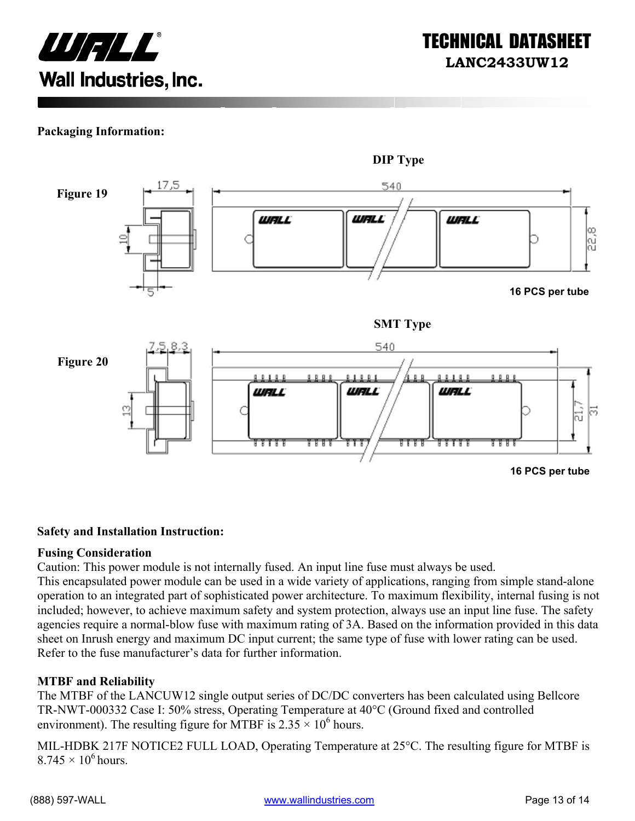

#### **Packaging Information:**



#### **Safety and Installation Instruction:**

#### **Fusing Consideration**

Caution: This power module is not internally fused. An input line fuse must always be used.

This encapsulated power module can be used in a wide variety of applications, ranging from simple stand-alone operation to an integrated part of sophisticated power architecture. To maximum flexibility, internal fusing is not included; however, to achieve maximum safety and system protection, always use an input line fuse. The safety agencies require a normal-blow fuse with maximum rating of 3A. Based on the information provided in this data sheet on Inrush energy and maximum DC input current; the same type of fuse with lower rating can be used. Refer to the fuse manufacturer's data for further information.

#### **MTBF and Reliability**

The MTBF of the LANCUW12 single output series of DC/DC converters has been calculated using Bellcore TR-NWT-000332 Case I: 50% stress, Operating Temperature at 40°C (Ground fixed and controlled environment). The resulting figure for MTBF is  $2.35 \times 10^6$  hours.

MIL-HDBK 217F NOTICE2 FULL LOAD, Operating Temperature at 25°C. The resulting figure for MTBF is  $8.745 \times 10^6$  hours.